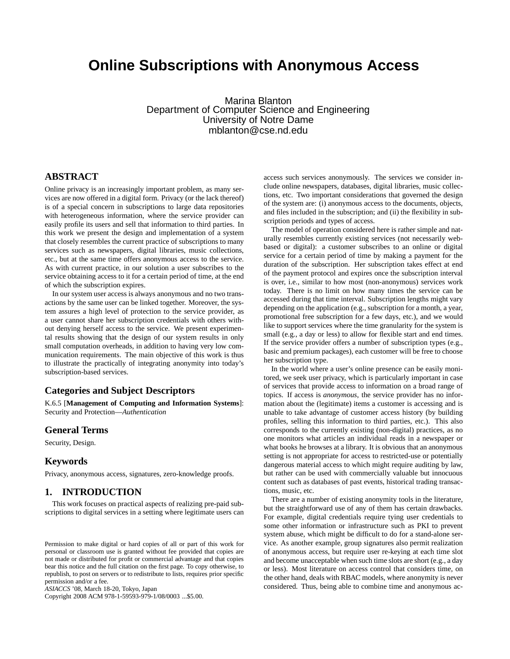# **Online Subscriptions with Anonymous Access**

Marina Blanton Department of Computer Science and Engineering University of Notre Dame mblanton@cse.nd.edu

# **ABSTRACT**

Online privacy is an increasingly important problem, as many services are now offered in a digital form. Privacy (or the lack thereof) is of a special concern in subscriptions to large data repositories with heterogeneous information, where the service provider can easily profile its users and sell that information to third parties. In this work we present the design and implementation of a system that closely resembles the current practice of subscriptions to many services such as newspapers, digital libraries, music collections, etc., but at the same time offers anonymous access to the service. As with current practice, in our solution a user subscribes to the service obtaining access to it for a certain period of time, at the end of which the subscription expires.

In our system user access is always anonymous and no two transactions by the same user can be linked together. Moreover, the system assures a high level of protection to the service provider, as a user cannot share her subscription credentials with others without denying herself access to the service. We present experimental results showing that the design of our system results in only small computation overheads, in addition to having very low communication requirements. The main objective of this work is thus to illustrate the practically of integrating anonymity into today's subscription-based services.

### **Categories and Subject Descriptors**

K.6.5 [**Management of Computing and Information Systems**]: Security and Protection—*Authentication*

#### **General Terms**

Security, Design.

#### **Keywords**

Privacy, anonymous access, signatures, zero-knowledge proofs.

# **1. INTRODUCTION**

This work focuses on practical aspects of realizing pre-paid subscriptions to digital services in a setting where legitimate users can

*ASIACCS* '08, March 18-20, Tokyo, Japan

Copyright 2008 ACM 978-1-59593-979-1/08/0003 ...\$5.00.

access such services anonymously. The services we consider include online newspapers, databases, digital libraries, music collections, etc. Two important considerations that governed the design of the system are: (i) anonymous access to the documents, objects, and files included in the subscription; and (ii) the flexibility in subscription periods and types of access.

The model of operation considered here is rather simple and naturally resembles currently existing services (not necessarily webbased or digital): a customer subscribes to an online or digital service for a certain period of time by making a payment for the duration of the subscription. Her subscription takes effect at end of the payment protocol and expires once the subscription interval is over, i.e., similar to how most (non-anonymous) services work today. There is no limit on how many times the service can be accessed during that time interval. Subscription lengths might vary depending on the application (e.g., subscription for a month, a year, promotional free subscription for a few days, etc.), and we would like to support services where the time granularity for the system is small (e.g., a day or less) to allow for flexible start and end times. If the service provider offers a number of subscription types (e.g., basic and premium packages), each customer will be free to choose her subscription type.

In the world where a user's online presence can be easily monitored, we seek user privacy, which is particularly important in case of services that provide access to information on a broad range of topics. If access is *anonymous*, the service provider has no information about the (legitimate) items a customer is accessing and is unable to take advantage of customer access history (by building profiles, selling this information to third parties, etc.). This also corresponds to the currently existing (non-digital) practices, as no one monitors what articles an individual reads in a newspaper or what books he browses at a library. It is obvious that an anonymous setting is not appropriate for access to restricted-use or potentially dangerous material access to which might require auditing by law, but rather can be used with commercially valuable but innocuous content such as databases of past events, historical trading transactions, music, etc.

There are a number of existing anonymity tools in the literature, but the straightforward use of any of them has certain drawbacks. For example, digital credentials require tying user credentials to some other information or infrastructure such as PKI to prevent system abuse, which might be difficult to do for a stand-alone service. As another example, group signatures also permit realization of anonymous access, but require user re-keying at each time slot and become unacceptable when such time slots are short (e.g., a day or less). Most literature on access control that considers time, on the other hand, deals with RBAC models, where anonymity is never considered. Thus, being able to combine time and anonymous ac-

Permission to make digital or hard copies of all or part of this work for personal or classroom use is granted without fee provided that copies are not made or distributed for profit or commercial advantage and that copies bear this notice and the full citation on the first page. To copy otherwise, to republish, to post on servers or to redistribute to lists, requires prior specific permission and/or a fee.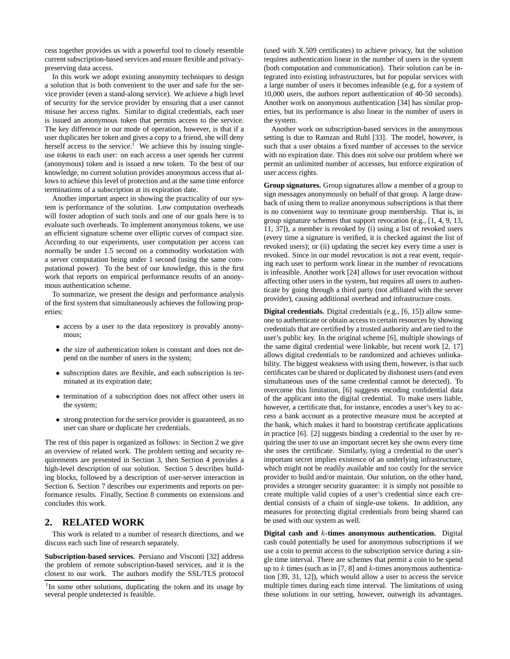cess together provides us with a powerful tool to closely resemble current subscription-based services and ensure flexible and privacypreserving data access.

In this work we adopt existing anonymity techniques to design a solution that is both convenient to the user and safe for the service provider (even a stand-along service). We achieve a high level of security for the service provider by ensuring that a user cannot misuse her access rights. Similar to digital credentials, each user is issued an anonymous token that permits access to the service. The key difference in our mode of operation, however, is that if a user duplicates her token and gives a copy to a friend, she will deny herself access to the service.<sup> $\overline{1}$ </sup> We achieve this by issuing singleuse tokens to each user: on each access a user spends her current (anonymous) token and is issued a new token. To the best of our knowledge, no current solution provides anonymous access that allows to achieve this level of protection and at the same time enforce terminations of a subscription at its expiration date.

Another important aspect in showing the practicality of our system is performance of the solution. Low computation overheads will foster adoption of such tools and one of our goals here is to evaluate such overheads. To implement anonymous tokens, we use an efficient signature scheme over elliptic curves of compact size. According to our experiments, user computation per access can normally be under 1.5 second on a commodity workstation with a server computation being under 1 second (using the same computational power). To the best of our knowledge, this is the first work that reports on empirical performance results of an anonymous authentication scheme.

To summarize, we present the design and performance analysis of the first system that simultaneously achieves the following properties:

- access by a user to the data repository is provably anonymous;
- the size of authentication token is constant and does not depend on the number of users in the system;
- subscription dates are flexible, and each subscription is terminated at its expiration date;
- termination of a subscription does not affect other users in the system;
- strong protection for the service provider is guaranteed, as no user can share or duplicate her credentials.

The rest of this paper is organized as follows: in Section 2 we give an overview of related work. The problem setting and security requirements are presented in Section 3, then Section 4 provides a high-level description of our solution. Section 5 describes building blocks, followed by a description of user-server interaction in Section 6. Section 7 describes our experiments and reports on performance results. Finally, Section 8 comments on extensions and concludes this work.

# **2. RELATED WORK**

This work is related to a number of research directions, and we discuss each such line of research separately.

**Subscription-based services.** Persiano and Visconti [32] address the problem of remote subscription-based services, and it is the closest to our work. The authors modify the SSL/TLS protocol (used with X.509 certificates) to achieve privacy, but the solution requires authentication linear in the number of users in the system (both computation and communication). Their solution can be integrated into existing infrastructures, but for popular services with a large number of users it becomes infeasible (e.g, for a system of 10,000 users, the authors report authentication of 40-50 seconds). Another work on anonymous authentication [34] has similar properties, but its performance is also linear in the number of users in the system.

Another work on subscription-based services in the anonymous setting is due to Ramzan and Ruhl [33]. The model, however, is such that a user obtains a fixed number of accesses to the service with no expiration date. This does not solve our problem where we permit an unlimited number of accesses, but enforce expiration of user access rights.

**Group signatures.** Group signatures allow a member of a group to sign messages anonymously on behalf of that group. A large drawback of using them to realize anonymous subscriptions is that there is no convenient way to terminate group membership. That is, in group signature schemes that support revocation (e.g., [1, 4, 9, 13, 11, 37]), a member is revoked by (i) using a list of revoked users (every time a signature is verified, it is checked against the list of revoked users); or (ii) updating the secret key every time a user is revoked. Since in our model revocation is not a rear event, requiring each user to perform work linear in the number of revocations is infeasible. Another work [24] allows for user revocation without affecting other users in the system, but requires all users to authenticate by going through a third party (not affiliated with the server provider), causing additional overhead and infrastructure costs.

**Digital credentials.** Digital credentials (e.g., [6, 15]) allow someone to authenticate or obtain access to certain resources by showing credentials that are certified by a trusted authority and are tied to the user's public key. In the original scheme [6], multiple showings of the same digital credential were linkable, but recent work [2, 17] allows digital credentials to be randomized and achieves unlinkability. The biggest weakness with using them, however, is that such certificates can be shared or duplicated by dishonest users (and even simultaneous uses of the same credential cannot be detected). To overcome this limitation, [6] suggests encoding confidential data of the applicant into the digital credential. To make users liable, however, a certificate that, for instance, encodes a user's key to access a bank account as a protective measure must be accepted at the bank, which makes it hard to bootstrap certificate applications in practice [6]. [2] suggests binding a credential to the user by requiring the user to use an important secret key she owns every time she uses the certificate. Similarly, tying a credential to the user's important secret implies existence of an underlying infrastructure, which might not be readily available and too costly for the service provider to build and/or maintain. Our solution, on the other hand, provides a stronger security guarantee: it is simply not possible to create multiple valid copies of a user's credential since each credential consists of a chain of single-use tokens. In addition, any measures for protecting digital credentials from being shared can be used with our system as well.

**Digital cash and** k**-times anonymous authentication.** Digital cash could potentially be used for anonymous subscriptions if we use a coin to permit access to the subscription service during a single time interval. There are schemes that permit a coin to be spend up to k times (such as in [7, 8] and k-times anonymous authentication [39, 31, 12]), which would allow a user to access the service multiple times during each time interval. The limitations of using these solutions in our setting, however, outweigh its advantages.

<sup>&</sup>lt;sup>1</sup>In some other solutions, duplicating the token and its usage by several people undetected is feasible.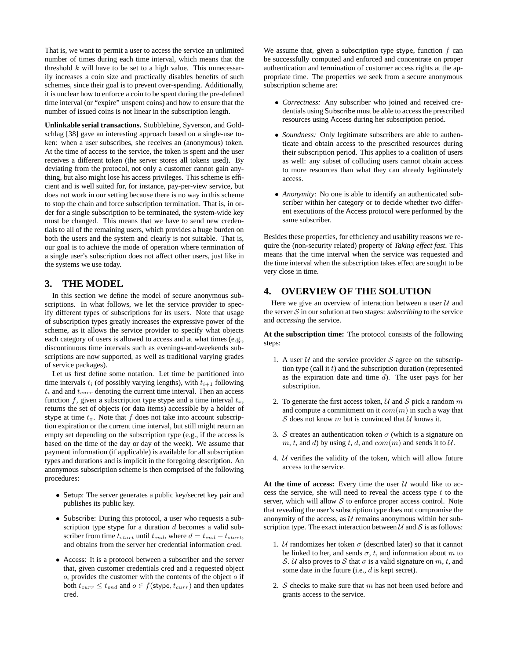That is, we want to permit a user to access the service an unlimited number of times during each time interval, which means that the threshold  $k$  will have to be set to a high value. This unnecessarily increases a coin size and practically disables benefits of such schemes, since their goal is to prevent over-spending. Additionally, it is unclear how to enforce a coin to be spent during the pre-defined time interval (or "expire" unspent coins) and how to ensure that the number of issued coins is not linear in the subscription length.

**Unlinkable serial transactions.** Stubblebine, Syverson, and Goldschlag [38] gave an interesting approach based on a single-use token: when a user subscribes, she receives an (anonymous) token. At the time of access to the service, the token is spent and the user receives a different token (the server stores all tokens used). By deviating from the protocol, not only a customer cannot gain anything, but also might lose his access privileges. This scheme is efficient and is well suited for, for instance, pay-per-view service, but does not work in our setting because there is no way in this scheme to stop the chain and force subscription termination. That is, in order for a single subscription to be terminated, the system-wide key must be changed. This means that we have to send new credentials to all of the remaining users, which provides a huge burden on both the users and the system and clearly is not suitable. That is, our goal is to achieve the mode of operation where termination of a single user's subscription does not affect other users, just like in the systems we use today.

### **3. THE MODEL**

In this section we define the model of secure anonymous subscriptions. In what follows, we let the service provider to specify different types of subscriptions for its users. Note that usage of subscription types greatly increases the expressive power of the scheme, as it allows the service provider to specify what objects each category of users is allowed to access and at what times (e.g., discontinuous time intervals such as evenings-and-weekends subscriptions are now supported, as well as traditional varying grades of service packages).

Let us first define some notation. Let time be partitioned into time intervals  $t_i$  (of possibly varying lengths), with  $t_{i+1}$  following  $t_i$  and and  $t_{curr}$  denoting the current time interval. Then an access function f, given a subscription type stype and a time interval  $t<sub>x</sub>$ , returns the set of objects (or data items) accessible by a holder of stype at time  $t<sub>x</sub>$ . Note that f does not take into account subscription expiration or the current time interval, but still might return an empty set depending on the subscription type (e.g., if the access is based on the time of the day or day of the week). We assume that payment information (if applicable) is available for all subscription types and durations and is implicit in the foregoing description. An anonymous subscription scheme is then comprised of the following procedures:

- Setup: The server generates a public key/secret key pair and publishes its public key.
- Subscribe: During this protocol, a user who requests a subscription type stype for a duration  $d$  becomes a valid subscriber from time  $t_{start}$  until  $t_{end}$ , where  $d = t_{end} - t_{start}$ , and obtains from the server her credential information cred.
- Access: It is a protocol between a subscriber and the server that, given customer credentials cred and a requested object  $o$ , provides the customer with the contents of the object  $o$  if both  $t_{curr} \leq t_{end}$  and  $o \in f$ (stype,  $t_{curr}$ ) and then updates cred.

We assume that, given a subscription type stype, function  $f$  can be successfully computed and enforced and concentrate on proper authentication and termination of customer access rights at the appropriate time. The properties we seek from a secure anonymous subscription scheme are:

- *Correctness:* Any subscriber who joined and received credentials using Subscribe must be able to access the prescribed resources using Access during her subscription period.
- *Soundness:* Only legitimate subscribers are able to authenticate and obtain access to the prescribed resources during their subscription period. This applies to a coalition of users as well: any subset of colluding users cannot obtain access to more resources than what they can already legitimately access.
- *Anonymity:* No one is able to identify an authenticated subscriber within her category or to decide whether two different executions of the Access protocol were performed by the same subscriber.

Besides these properties, for efficiency and usability reasons we require the (non-security related) property of *Taking effect fast*. This means that the time interval when the service was requested and the time interval when the subscription takes effect are sought to be very close in time.

# **4. OVERVIEW OF THE SOLUTION**

Here we give an overview of interaction between a user  $U$  and the server S in our solution at two stages: *subscribing* to the service and *accessing* the service.

**At the subscription time:** The protocol consists of the following steps:

- 1. A user  $U$  and the service provider S agree on the subscription type (call it  $t$ ) and the subscription duration (represented as the expiration date and time  $d$ ). The user pays for her subscription.
- 2. To generate the first access token,  $U$  and  $S$  pick a random  $m$ and compute a commitment on it  $com(m)$  in such a way that S does not know m but is convinced that  $U$  knows it.
- 3. S creates an authentication token  $\sigma$  (which is a signature on m, t, and d) by using t, d, and  $com(m)$  and sends it to  $U$ .
- 4.  $U$  verifies the validity of the token, which will allow future access to the service.

At the time of access: Every time the user  $U$  would like to access the service, she will need to reveal the access type  $t$  to the server, which will allow  $S$  to enforce proper access control. Note that revealing the user's subscription type does not compromise the anonymity of the access, as  $U$  remains anonymous within her subscription type. The exact interaction between  $U$  and  $S$  is as follows:

- 1. *U* randomizes her token  $\sigma$  (described later) so that it cannot be linked to her, and sends  $\sigma$ , t, and information about m to S. U also proves to S that  $\sigma$  is a valid signature on m, t, and some date in the future (i.e., d is kept secret).
- 2.  $S$  checks to make sure that m has not been used before and grants access to the service.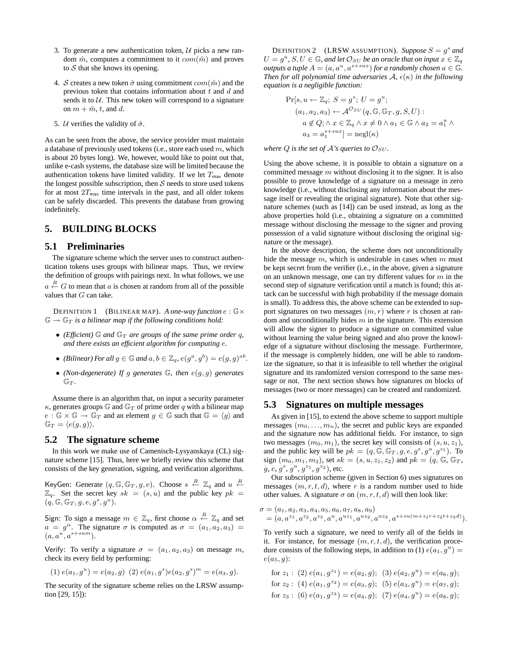- 3. To generate a new authentication token,  $U$  picks a new random  $\hat{m}$ , computes a commitment to it  $com(\hat{m})$  and proves to  $S$  that she knows its opening.
- 4. S creates a new token  $\hat{\sigma}$  using commitment  $com(\hat{m})$  and the previous token that contains information about  $t$  and  $d$  and sends it to  $U$ . This new token will correspond to a signature on  $m + \hat{m}$ , t, and d.
- 5. *U* verifies the validity of  $\hat{\sigma}$ .

As can be seen from the above, the service provider must maintain a database of previously used tokens (i.e., store each used  $m$ , which is about 20 bytes long). We, however, would like to point out that, unlike e-cash systems, the database size will be limited because the authentication tokens have limited validity. If we let  $T_{\text{max}}$  denote the longest possible subscription, then  $S$  needs to store used tokens for at most  $2T_{\text{max}}$  time intervals in the past, and all older tokens can be safely discarded. This prevents the database from growing indefinitely.

# **5. BUILDING BLOCKS**

# **5.1 Preliminaries**

The signature scheme which the server uses to construct authentication tokens uses groups with bilinear maps. Thus, we review the definition of groups with pairings next. In what follows, we use  $a \stackrel{R}{\leftarrow} G$  to mean that a is chosen at random from all of the possible values that G can take.

DEFINITION 1 (BILINEAR MAP). *A one-way function* e : G×  $\mathbb{G} \to \mathbb{G}_T$  *is a bilinear map if the following conditions hold:* 

- (*Efficient*)  $\mathbb{G}$  *and*  $\mathbb{G}_T$  *are groups of the same prime order q, and there exists an efficient algorithm for computing* e*.*
- *(Bilinear)* For all  $g \in \mathbb{G}$  and  $a, b \in \mathbb{Z}_q$ ,  $e(g^a, g^b) = e(g, g)^{ab}$ .
- *(Non-degenerate) If* g *generates* G*, then* e(g, g) *generates*  $\mathbb{G}_T$ .

Assume there is an algorithm that, on input a security parameter  $\kappa$ , generates groups  $\mathbb{G}$  and  $\mathbb{G}_T$  of prime order q with a bilinear map  $e : \mathbb{G} \times \mathbb{G} \to \mathbb{G}_T$  and an element  $g \in \mathbb{G}$  such that  $\mathbb{G} = \langle g \rangle$  and  $\mathbb{G}_T = \langle e(g, g) \rangle.$ 

#### **5.2 The signature scheme**

In this work we make use of Camenisch-Lysyanskaya (CL) signature scheme [15]. Thus, here we briefly review this scheme that consists of the key generation, signing, and verification algorithms.

KeyGen: Generate  $(q, \mathbb{G}, \mathbb{G}_T, g, e)$ . Choose  $s \stackrel{R}{\leftarrow} \mathbb{Z}_q$  and  $u \stackrel{R}{\leftarrow}$  $\mathbb{Z}_q$ . Set the secret key  $sk = (s, u)$  and the public key  $pk =$  $(q, \mathbb{G}, \mathbb{G}_T, g, e, g^s, g^u).$ 

Sign: To sign a message  $m \in \mathbb{Z}_q$ , first choose  $\alpha \stackrel{R}{\leftarrow} \mathbb{Z}_q$  and set  $a = g^{\alpha}$ . The signature  $\sigma$  is computed as  $\sigma = (a_1, a_2, a_3)$  $(a, a^u, a^{s+sum}).$ 

Verify: To verify a signature  $\sigma = (a_1, a_2, a_3)$  on message m, check its every field by performing:

(1) 
$$
e(a_1, g^u) = e(a_2, g)
$$
 (2)  $e(a_1, g^s)e(a_2, g^s)^m = e(a_3, g)$ .

The security of the signature scheme relies on the LRSW assumption [29, 15]):

DEFINITION 2 (LRSW ASSUMPTION). Suppose  $S = g^s$  and  $U = g^u$ ,  $S, U \in \mathbb{G}$ , and let  $\mathcal{O}_{SU}$  be an oracle that on input  $x \in \mathbb{Z}_q$ *outputs a tuple*  $A = (a, a^u, a^{s + sux})$  *for a randomly chosen*  $a \in \mathbb{G}$ *. Then for all polynomial time adversaries*  $A$ ,  $\epsilon(\kappa)$  *in the following equation is a negligible function:*

$$
\Pr[s, u \leftarrow \mathbb{Z}_q; S = g^s; U = g^u;
$$
  
(a<sub>1</sub>, a<sub>2</sub>, a<sub>3</sub>)  $\leftarrow$  A<sup>O</sup><sub>SU</sub> (q, \mathbb{G}, \mathbb{G}\_T, g, S, U) :  
a \notin Q; \land x \in \mathbb{Z}\_q \land x \neq 0 \land a\_1 \in \mathbb{G} \land a\_2 = a\_1^u \land a\_3 = a\_1^{s + sux} = \text{negl}(\kappa)

*where*  $Q$  *is the set of*  $A$ *'s queries to*  $\mathcal{O}_{SU}$ *.* 

Using the above scheme, it is possible to obtain a signature on a committed message  $m$  without disclosing it to the signer. It is also possible to prove knowledge of a signature on a message in zero knowledge (i.e., without disclosing any information about the message itself or revealing the original signature). Note that other signature schemes (such as [14]) can be used instead, as long as the above properties hold (i.e., obtaining a signature on a committed message without disclosing the message to the signer and proving possession of a valid signature without disclosing the original signature or the message).

In the above description, the scheme does not unconditionally hide the message  $m$ , which is undesirable in cases when  $m$  must be kept secret from the verifier (i.e., in the above, given a signature on an unknown message, one can try different values for  $m$  in the second step of signature verification until a match is found; this attack can be successful with high probability if the message domain is small). To address this, the above scheme can be extended to support signatures on two messages  $(m, r)$  where r is chosen at random and unconditionally hides  $m$  in the signature. This extension will allow the signer to produce a signature on committed value without learning the value being signed and also prove the knowledge of a signature without disclosing the message. Furthermore, if the message is completely hidden, one will be able to randomize the signature, so that it is infeasible to tell whether the original signature and its randomized version correspond to the same message or not. The next section shows how signatures on blocks of messages (two or more messages) can be created and randomized.

#### **5.3 Signatures on multiple messages**

As given in [15], to extend the above scheme to support multiple messages  $(m_0, \ldots, m_n)$ , the secret and public keys are expanded and the signature now has additional fields. For instance, to sign two messages  $(m_0, m_1)$ , the secret key will consists of  $(s, u, z_1)$ , and the public key will be  $pk = (q, \mathbb{G}, \mathbb{G}_T, g, e, g^s, g^u, g^{z_1})$ . To sign  $(m_0, m_1, m_2)$ , set  $sk = (s, u, z_1, z_2)$  and  $pk = (q, \mathbb{G}, \mathbb{G}_T,$  $g, e, g<sup>s</sup>, g<sup>u</sup>, g<sup>z<sub>1</sub></sup>, g<sup>z<sub>2</sub></sup>$ ), etc.

Our subscription scheme (given in Section 6) uses signatures on messages  $(m, r, t, d)$ , where r is a random number used to hide other values. A signature  $\sigma$  on  $(m, r, t, d)$  will then look like:

$$
\sigma = (a_1, a_2, a_3, a_4, a_5, a_6, a_7, a_8, a_9) = (a, a^{z_1}, a^{z_2}, a^{z_3}, a^u, a^{u z_1}, a^{u z_2}, a^{u z_3}, a^{s + s u(m + z_1 r + z_2 t + z_3 d)}).
$$

To verify such a signature, we need to verify all of the fields in it. For instance, for message  $(m, r, t, d)$ , the verification procedure consists of the following steps, in addition to (1)  $e(a_1, g^u) =$  $e(a_5, g)$ :

for 
$$
z_1
$$
: (2)  $e(a_1, g^{z_1}) = e(a_2, g)$ ; (3)  $e(a_2, g^u) = e(a_6, g)$ ;  
for  $z_2$ : (4)  $e(a_1, g^{z_2}) = e(a_3, g)$ ; (5)  $e(a_3, g^u) = e(a_7, g)$ ;  
for  $z_3$ : (6)  $e(a_1, g^{z_3}) = e(a_4, g)$ ; (7)  $e(a_4, g^u) = e(a_8, g)$ ;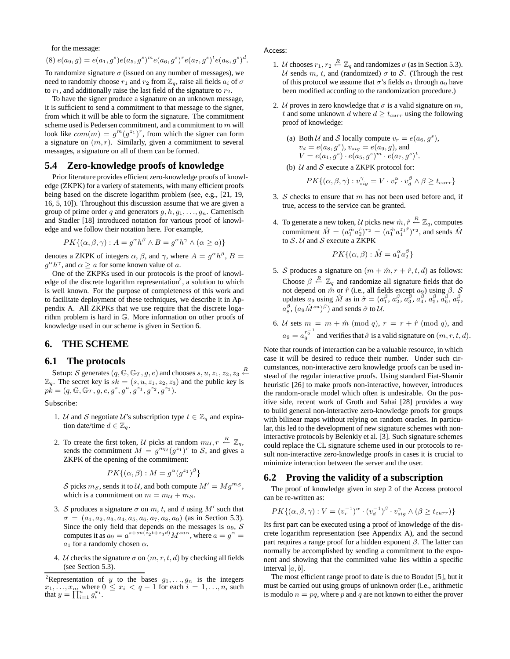for the message:

$$
(8) e(a_9, g) = e(a_1, g^s) e(a_5, g^s)^m e(a_6, g^s)^r e(a_7, g^s)^t e(a_8, g^s)^d
$$

To randomize signature  $\sigma$  (issued on any number of messages), we need to randomly choose  $r_1$  and  $r_2$  from  $\mathbb{Z}_q$ , raise all fields  $a_i$  of  $\sigma$ to  $r_1$ , and additionally raise the last field of the signature to  $r_2$ .

To have the signer produce a signature on an unknown message, it is sufficient to send a commitment to that message to the signer, from which it will be able to form the signature. The commitment scheme used is Pedersen commitment, and a commitment to  $m$  will look like  $com(m) = g^m(g^{z_1})^r$ , from which the signer can form a signature on  $(m, r)$ . Similarly, given a commitment to several messages, a signature on all of them can be formed.

#### **5.4 Zero-knowledge proofs of knowledge**

Prior literature provides efficient zero-knowledge proofs of knowledge (ZKPK) for a variety of statements, with many efficient proofs being based on the discrete logarithm problem (see, e.g., [21, 19, 16, 5, 10]). Throughout this discussion assume that we are given a group of prime order q and generators  $g, h, g_1, \ldots, g_n$ . Camenisch and Stadler [18] introduced notation for various proof of knowledge and we follow their notation here. For example,

$$
PK\{(\alpha, \beta, \gamma) : A = g^{\alpha}h^{\beta} \wedge B = g^{\alpha}h^{\gamma} \wedge (\alpha \ge a)\}\
$$

denotes a ZKPK of integers  $\alpha$ ,  $\beta$ , and  $\gamma$ , where  $A = g^{\alpha}h^{\beta}$ ,  $B =$  $g^{\alpha}h^{\gamma}$ , and  $\alpha \ge a$  for some known value of a.

One of the ZKPKs used in our protocols is the proof of knowledge of the discrete logarithm representation<sup>2</sup>, a solution to which is well known. For the purpose of completeness of this work and to facilitate deployment of these techniques, we describe it in Appendix A. All ZKPKs that we use require that the discrete logarithm problem is hard in G. More information on other proofs of knowledge used in our scheme is given in Section 6.

### **6. THE SCHEME**

#### **6.1 The protocols**

Setup:  $S$  generates  $(q, \mathbb{G}, \mathbb{G}_T, g, e)$  and chooses  $s, u, z_1, z_2, z_3 \stackrel{R}{\leftarrow}$  $\mathbb{Z}_q$ . The secret key is  $sk = (s, u, z_1, z_2, z_3)$  and the public key is  $p\vec{k} = (q, \mathbb{G}, \mathbb{G}_T, g, e, g^s, g^u, g^{z_1}, g^{z_2}, g^{z_3}).$ 

Subscribe:

- 1. *U* and *S* negotiate *U*'s subscription type  $t \in \mathbb{Z}_q$  and expiration date/time  $d \in \mathbb{Z}_q$ .
- 2. To create the first token, *U* picks at random  $m_{\mathcal{U}}$ ,  $r \leftarrow \mathbb{Z}_q$ , sends the commitment  $M = g^{m_{\mathcal{U}}}(g^{z_1})^r$  to S, and gives a ZKPK of the opening of the commitment:

$$
PK\{(\alpha,\beta): M = g^{\alpha}(g^{z_1})^{\beta}\}\
$$

S picks  $m_S$ , sends it to U, and both compute  $M' = Mg^{ms}$ , which is a commitment on  $m = m<sub>U</sub> + m<sub>S</sub>$ .

- 3. S produces a signature  $\sigma$  on  $m$ ,  $t$ , and  $d$  using  $M'$  such that  $\sigma = (a_1, a_2, a_3, a_4, a_5, a_6, a_7, a_8, a_9)$  (as in Section 5.3). Since the only field that depends on the messages is  $a_9$ , S computes it as  $a_9 = a^{s + su(z_2t + z_3d)} M^{su\alpha}$ , where  $a = g^{\alpha} =$  $a_1$  for a randomly chosen  $\alpha$ .
- 4. U checks the signature  $\sigma$  on  $(m, r, t, d)$  by checking all fields (see Section 5.3).

Access:

.

- 1. *U* chooses  $r_1, r_2 \stackrel{R}{\leftarrow} \mathbb{Z}_q$  and randomizes  $\sigma$  (as in Section 5.3). U sends m, t, and (randomized)  $\sigma$  to S. (Through the rest of this protocol we assume that  $\sigma$ 's fields  $a_1$  through  $a_9$  have been modified according to the randomization procedure.)
- 2. U proves in zero knowledge that  $\sigma$  is a valid signature on  $m$ , t and some unknown d where  $d \geq t_{curr}$  using the following proof of knowledge:

(a) Both 
$$
\mathcal U
$$
 and  $\mathcal S$  locally compute  $v_r = e(a_6, g^s)$ ,  $v_d = e(a_8, g^s)$ ,  $v_{sig} = e(a_9, g)$ , and  $V = e(a_1, g^s) \cdot e(a_5, g^s)^m \cdot e(a_7, g^s)^t$ .

(b)  $U$  and  $S$  execute a ZKPK protocol for:

$$
PK\{(\alpha, \beta, \gamma) : v_{sig}^{\gamma} = V \cdot v_r^{\alpha} \cdot v_d^{\beta} \wedge \beta \ge t_{curr}\}
$$

- 3.  $S$  checks to ensure that m has not been used before and, if true, access to the service can be granted.
- 4. To generate a new token,  $\mathcal U$  picks new  $\hat m, \hat r \stackrel{R}{\leftarrow} \mathbb{Z}_q$ , computes commitment  $\hat{M} = (a_1^{\hat{m}} a_2^{\hat{r}})^{r_2} = (a_1^{\hat{m}} a_1^{z_1 \hat{r}})^{r_2}$ , and sends  $\hat{M}$ to  $S$ .  $U$  and  $S$  execute a ZKPK

$$
PK\{(\alpha,\beta):\hat{M}=a_1^{\alpha}a_2^{\beta}\}\
$$

- 5. S produces a signature on  $(m + \hat{m}, r + \hat{r}, t, d)$  as follows: Choose  $\beta \stackrel{R}{\leftarrow} \mathbb{Z}_q$  and randomize all signature fields that do not depend on  $\hat{m}$  or  $\hat{r}$  (i.e., all fields except  $a_9$ ) using  $\beta$ .  $\beta$ updates  $a_9$  using  $\hat{M}$  as in  $\hat{\sigma} = (a_1^{\beta}, a_2^{\beta}, a_3^{\beta}, a_4^{\beta}, a_5^{\beta}, a_6^{\beta}, a_7^{\beta}, a_8^{\beta}, a_9^{\beta}, a_9^{\beta}, a_9^{\beta}, a_9^{\beta}, a_9^{\beta}, a_9^{\beta}, a_9^{\beta}, a_9^{\beta}, a_9^{\beta}, a_9^{\beta}, a_9^{\beta}, a_9^{\beta}, a_9^{\beta}, a_9^{\beta}, a_9^{\beta}, a_9^{\beta}, a_9^{\beta}, a_9^$  $a_8^\beta$ ,  $(a_9 \hat{M}^{su})^\beta)$  and sends  $\hat{\sigma}$  to  $\mathcal{U}$ .
- 6. U sets  $m = m + \hat{m} \pmod{q}$ ,  $r = r + \hat{r} \pmod{q}$ , and  $a_9 = a_9^{r_2^{-1}}$  and verifies that  $\hat{\sigma}$  is a valid signature on  $(m, r, t, d)$ .

Note that rounds of interaction can be a valuable resource, in which case it will be desired to reduce their number. Under such circumstances, non-interactive zero knowledge proofs can be used instead of the regular interactive proofs. Using standard Fiat-Shamir heuristic [26] to make proofs non-interactive, however, introduces the random-oracle model which often is undesirable. On the positive side, recent work of Groth and Sahai [28] provides a way to build general non-interactive zero-knowledge proofs for groups with bilinear maps without relying on random oracles. In particular, this led to the development of new signature schemes with noninteractive protocols by Belenkiy et al. [3]. Such signature schemes could replace the CL signature scheme used in our protocols to result non-interactive zero-knowledge proofs in cases it is crucial to minimize interaction between the server and the user.

#### **6.2 Proving the validity of a subscription**

The proof of knowledge given in step 2 of the Access protocol can be re-written as:

$$
PK\{(\alpha,\beta,\gamma): V = (v_r^{-1})^{\alpha} \cdot (v_d^{-1})^{\beta} \cdot v_{sig}^{\gamma} \wedge (\beta \ge t_{curr})\}
$$

Its first part can be executed using a proof of knowledge of the discrete logarithm representation (see Appendix A), and the second part requires a range proof for a hidden exponent  $\beta$ . The latter can normally be accomplished by sending a commitment to the exponent and showing that the committed value lies within a specific interval  $[a, b]$ .

The most efficient range proof to date is due to Boudot [5], but it must be carried out using groups of unknown order (i.e., arithmetic is modulo  $n = pq$ , where p and q are not known to either the prover

<sup>&</sup>lt;sup>2</sup>Representation of y to the bases  $g_1, \ldots, g_n$  is the integers  $x_1, \ldots, x_n$ , where  $0 \le x_i < q-1$  for each  $i = 1, \ldots, n$ , such that  $y = \prod_{i=1}^n g_i^{x_i}$ .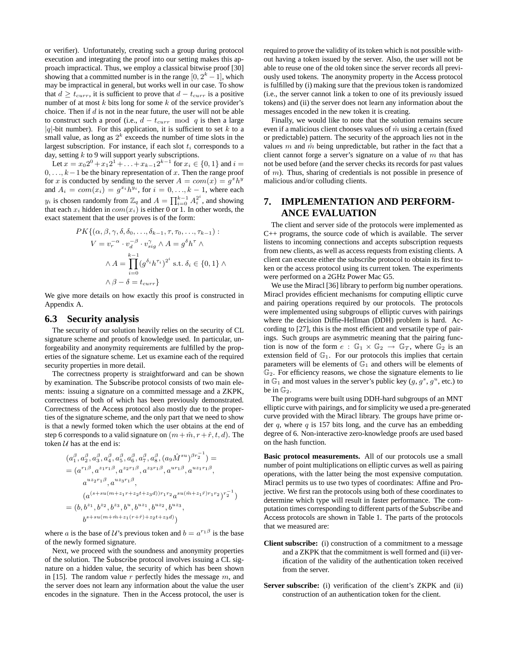or verifier). Unfortunately, creating such a group during protocol execution and integrating the proof into our setting makes this approach impractical. Thus, we employ a classical bitwise proof [30] showing that a committed number is in the range  $[0, 2<sup>k</sup> - 1]$ , which may be impractical in general, but works well in our case. To show that  $d \geq t_{curr}$ , it is sufficient to prove that  $d - t_{curr}$  is a positive number of at most  $k$  bits long for some  $k$  of the service provider's choice. Then if  $d$  is not in the near future, the user will not be able to construct such a proof (i.e.,  $d - t_{curr} \mod q$  is then a large |q|-bit number). For this application, it is sufficient to set  $k$  to a small value, as long as  $2^k$  exceeds the number of time slots in the largest subscription. For instance, if each slot  $t_i$  corresponds to a day, setting  $k$  to 9 will support yearly subscriptions.

Let  $x = x_0 2^0 + x_1 2^1 + \ldots + x_{k-1} 2^{k-1}$  for  $x_i \in \{0, 1\}$  and  $i =$  $0, \ldots, k-1$  be the binary representation of x. Then the range proof for x is conducted by sending to the server  $A = com(x) = g^x h^y$ and  $A_i = com(x_i) = g^{x_i}h^{y_i}$ , for  $i = 0, ..., k - 1$ , where each  $y_i$  is chosen randomly from  $\mathbb{Z}_q$  and  $A = \prod_{i=0}^{k-1} A_i^{2^i}$ , and showing that each  $x_i$  hidden in  $com(x_i)$  is either 0 or 1. In other words, the exact statement that the user proves is of the form:

$$
PK\{(\alpha, \beta, \gamma, \delta, \delta_0, \dots, \delta_{k-1}, \tau, \tau_0, \dots, \tau_{k-1}) :
$$
  
\n
$$
V = v_r^{-\alpha} \cdot v_d^{-\beta} \cdot v_{sig}^{\gamma} \wedge A = g^{\delta} h^{\tau} \wedge
$$
  
\n
$$
\wedge A = \prod_{i=0}^{k-1} (g^{\delta_i} h^{\tau_i})^{2^i} \text{ s.t. } \delta_i \in \{0, 1\} \wedge
$$
  
\n
$$
\wedge \beta - \delta = t_{curr} \}
$$

We give more details on how exactly this proof is constructed in Appendix A.

#### **6.3 Security analysis**

The security of our solution heavily relies on the security of CL signature scheme and proofs of knowledge used. In particular, unforgeability and anonymity requirements are fulfilled by the properties of the signature scheme. Let us examine each of the required security properties in more detail.

The correctness property is straightforward and can be shown by examination. The Subscribe protocol consists of two main elements: issuing a signature on a committed message and a ZKPK, correctness of both of which has been previously demonstrated. Correctness of the Access protocol also mostly due to the properties of the signature scheme, and the only part that we need to show is that a newly formed token which the user obtains at the end of step 6 corresponds to a valid signature on  $(m+\hat{m}, r+\hat{r}, t, d)$ . The token  $U$  has at the end is:

$$
(a_1^{\beta}, a_2^{\beta}, a_3^{\beta}, a_4^{\beta}, a_5^{\beta}, a_6^{\beta}, a_7^{\beta}, a_8^{\beta}, (a_9 \hat{M}^{su})^{\beta r_2^{-1}}) =
$$
  
= 
$$
(a^{r_1\beta}, a^{z_1r_1\beta}, a^{z_2r_1\beta}, a^{z_3r_1\beta}, a^{ur_1\beta}, a^{uz_1r_1\beta},
$$

$$
a^{uz_2r_1\beta}, a^{uz_3r_1\beta},
$$

$$
(a^{(s+su(m+z_1r+z_2t+z_3d))r_1r_2}a^{su(\hat{m}+z_1\hat{r})r_1r_2})^{r_2^{-1}})
$$
  
= 
$$
(b, b^{z_1}, b^{z_2}, b^{z_3}, b^u, b^{uz_1}, b^{uz_2}, b^{uz_3}, b^{uz_3}, b^{s+su(m+\hat{m}+z_1(r+\hat{r})+z_2t+z_3d)})
$$

where *a* is the base of *U*'s previous token and  $b = a^{r_1 \beta}$  is the base of the newly formed signature.

Next, we proceed with the soundness and anonymity properties of the solution. The Subscribe protocol involves issuing a CL signature on a hidden value, the security of which has been shown in [15]. The random value  $r$  perfectly hides the message  $m$ , and the server does not learn any information about the value the user encodes in the signature. Then in the Access protocol, the user is required to prove the validity of its token which is not possible without having a token issued by the server. Also, the user will not be able to reuse one of the old token since the server records all previously used tokens. The anonymity property in the Access protocol is fulfilled by (i) making sure that the previous token is randomized (i.e., the server cannot link a token to one of its previously issued tokens) and (ii) the server does not learn any information about the messages encoded in the new token it is creating.

Finally, we would like to note that the solution remains secure even if a malicious client chooses values of  $\hat{m}$  using a certain (fixed or predictable) pattern. The security of the approach lies not in the values  $m$  and  $\hat{m}$  being unpredictable, but rather in the fact that a client cannot forge a server's signature on a value of  $m$  that has not be used before (and the server checks its records for past values of m). Thus, sharing of credentials is not possible in presence of malicious and/or colluding clients.

# **7. IMPLEMENTATION AND PERFORM-ANCE EVALUATION**

The client and server side of the protocols were implemented as C++ programs, the source code of which is available. The server listens to incoming connections and accepts subscription requests from new clients, as well as access requests from existing clients. A client can execute either the subscribe protocol to obtain its first token or the access protocol using its current token. The experiments were performed on a 2GHz Power Mac G5.

We use the Miracl [36] library to perform big number operations. Miracl provides efficient mechanisms for computing elliptic curve and pairing operations required by our protocols. The protocols were implemented using subgroups of elliptic curves with pairings where the decision Diffie-Hellman (DDH) problem is hard. According to [27], this is the most efficient and versatile type of pairings. Such groups are asymmetric meaning that the pairing function is now of the form  $e : \mathbb{G}_1 \times \mathbb{G}_2 \to \mathbb{G}_T$ , where  $\mathbb{G}_2$  is an extension field of  $\mathbb{G}_1$ . For our protocols this implies that certain parameters will be elements of  $\mathbb{G}_1$  and others will be elements of  $\mathbb{G}_2$ . For efficiency reasons, we chose the signature elements to lie in  $\mathbb{G}_1$  and most values in the server's public key  $(g, g^s, g^u, \text{etc.})$  to be in  $\mathbb{G}_2$ .

The programs were built using DDH-hard subgroups of an MNT elliptic curve with pairings, and for simplicity we used a pre-generated curve provided with the Miracl library. The groups have prime order  $q$ , where  $q$  is 157 bits long, and the curve has an embedding degree of 6. Non-interactive zero-knowledge proofs are used based on the hash function.

**Basic protocol measurements.** All of our protocols use a small number of point multiplications on elliptic curves as well as pairing operations, with the latter being the most expensive computation. Miracl permits us to use two types of coordinates: Affine and Projective. We first ran the protocols using both of these coordinates to determine which type will result in faster performance. The computation times corresponding to different parts of the Subscribe and Access protocols are shown in Table 1. The parts of the protocols that we measured are:

- **Client subscribe:** (i) construction of a commitment to a message and a ZKPK that the commitment is well formed and (ii) verification of the validity of the authentication token received from the server.
- Server subscribe: (i) verification of the client's ZKPK and (ii) construction of an authentication token for the client.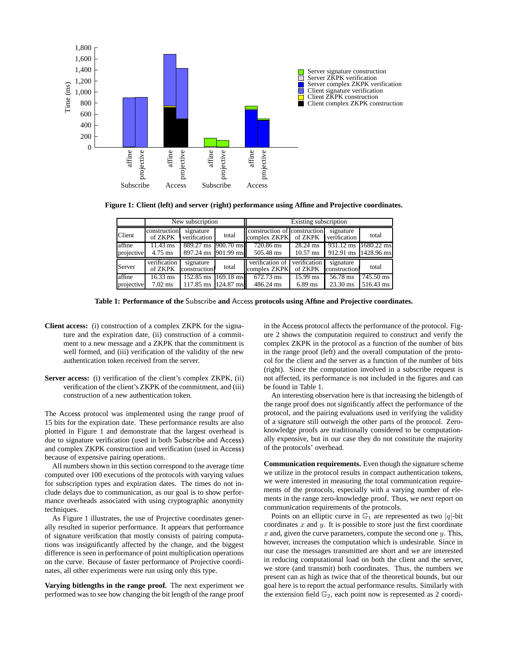

**Figure 1: Client (left) and server (right) performance using Affine and Projective coordinates.**

|                      | New subscription                   |                                     |                          | Existing subscription                        |                                |                                |                          |
|----------------------|------------------------------------|-------------------------------------|--------------------------|----------------------------------------------|--------------------------------|--------------------------------|--------------------------|
| Client               | construction<br>of ZKPK            | signature<br>verification           | total                    | construction of construction<br>complex ZKPK | of ZKPK                        | signature<br>verification      | total                    |
| affine<br>projective | $\overline{11.43}$ ms<br>$4.75$ ms | $889.27$ ms<br>897.24 ms 1901.99 ms | $900.70$ ms              | $720.86 \text{ ms}$<br>505.48 ms             | 28.24 ms<br>$10.57 \text{ ms}$ | 931.12 ms<br>912.91 ms         | 1680.22 ms<br>1428.96 ms |
| Server               | verification<br>of ZKPK            | signature<br>construction           | total                    | verification of<br>complex ZKPK              | verification<br>of ZKPK        | signature<br>construction      | total                    |
| affine<br>projective | $\overline{16.33}$ ms<br>$7.02$ ms | 152.85 ms<br>$117.85 \text{ ms}$    | $169.18$ ms<br>124.87 ms | $672.73 \text{ ms}$<br>486.24 ms             | $15.99$ ms<br>$6.89$ ms        | 56.78 ms<br>$23.30 \text{ ms}$ | 745.50 ms<br>516.43 ms   |



- **Client access:** (i) construction of a complex ZKPK for the signature and the expiration date, (ii) construction of a commitment to a new message and a ZKPK that the commitment is well formed, and (iii) verification of the validity of the new authentication token received from the server.
- **Server access:** (i) verification of the client's complex ZKPK, (ii) verification of the client's ZKPK of the commitment, and (iii) construction of a new authentication token.

The Access protocol was implemented using the range proof of 15 bits for the expiration date. These performance results are also plotted in Figure 1 and demonstrate that the largest overhead is due to signature verification (used in both Subscribe and Access) and complex ZKPK construction and verification (used in Access) because of expensive pairing operations.

All numbers shown in this section correspond to the average time computed over 100 executions of the protocols with varying values for subscription types and expiration dates. The times do not include delays due to communication, as our goal is to show performance overheads associated with using cryptographic anonymity techniques.

As Figure 1 illustrates, the use of Projective coordinates generally resulted in superior performance. It appears that performance of signature verification that mostly consists of pairing computations was insignificantly affected by the change, and the biggest difference is seen in performance of point multiplication operations on the curve. Because of faster performance of Projective coordinates, all other experiments were run using only this type.

**Varying bitlengths in the range proof.** The next experiment we performed was to see how changing the bit length of the range proof in the Access protocol affects the performance of the protocol. Figure 2 shows the computation required to construct and verify the complex ZKPK in the protocol as a function of the number of bits in the range proof (left) and the overall computation of the protocol for the client and the server as a function of the number of bits (right). Since the computation involved in a subscribe request is not affected, its performance is not included in the figures and can be found in Table 1.

An interesting observation here is that increasing the bitlength of the range proof does not significantly affect the performance of the protocol, and the pairing evaluations used in verifying the validity of a signature still outweigh the other parts of the protocol. Zeroknowledge proofs are traditionally considered to be computationally expensive, but in our case they do not constitute the majority of the protocols' overhead.

**Communication requirements.** Even though the signature scheme we utilize in the protocol results in compact authentication tokens, we were interested in measuring the total communication requirements of the protocols, especially with a varying number of elements in the range zero-knowledge proof. Thus, we next report on communication requirements of the protocols.

Points on an elliptic curve in  $\mathbb{G}_1$  are represented as two |q|-bit coordinates  $x$  and  $y$ . It is possible to store just the first coordinate  $x$  and, given the curve parameters, compute the second one  $y$ . This, however, increases the computation which is undesirable. Since in our case the messages transmitted are short and we are interested in reducing computational load on both the client and the server, we store (and transmit) both coordinates. Thus, the numbers we present can as high as twice that of the theoretical bounds, but our goal here is to report the actual performance results. Similarly with the extension field  $\mathbb{G}_2$ , each point now is represented as 2 coordi-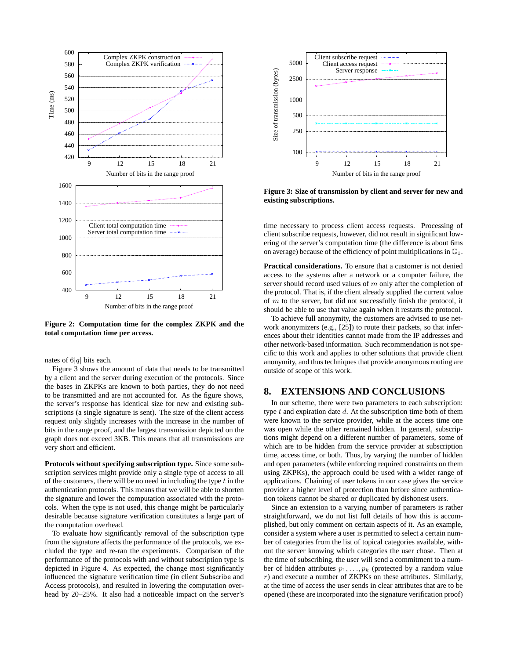

**Figure 2: Computation time for the complex ZKPK and the total computation time per access.**

nates of  $6|q|$  bits each.

Figure 3 shows the amount of data that needs to be transmitted by a client and the server during execution of the protocols. Since the bases in ZKPKs are known to both parties, they do not need to be transmitted and are not accounted for. As the figure shows, the server's response has identical size for new and existing subscriptions (a single signature is sent). The size of the client access request only slightly increases with the increase in the number of bits in the range proof, and the largest transmission depicted on the graph does not exceed 3KB. This means that all transmissions are very short and efficient.

**Protocols without specifying subscription type.** Since some subscription services might provide only a single type of access to all of the customers, there will be no need in including the type  $t$  in the authentication protocols. This means that we will be able to shorten the signature and lower the computation associated with the protocols. When the type is not used, this change might be particularly desirable because signature verification constitutes a large part of the computation overhead.

To evaluate how significantly removal of the subscription type from the signature affects the performance of the protocols, we excluded the type and re-ran the experiments. Comparison of the performance of the protocols with and without subscription type is depicted in Figure 4. As expected, the change most significantly influenced the signature verification time (in client Subscribe and Access protocols), and resulted in lowering the computation overhead by 20–25%. It also had a noticeable impact on the server's



**Figure 3: Size of transmission by client and server for new and existing subscriptions.**

time necessary to process client access requests. Processing of client subscribe requests, however, did not result in significant lowering of the server's computation time (the difference is about 6ms on average) because of the efficiency of point multiplications in  $\mathbb{G}_1$ .

**Practical considerations.** To ensure that a customer is not denied access to the systems after a network or a computer failure, the server should record used values of m only after the completion of the protocol. That is, if the client already supplied the current value of  $m$  to the server, but did not successfully finish the protocol, it should be able to use that value again when it restarts the protocol.

To achieve full anonymity, the customers are advised to use network anonymizers (e.g., [25]) to route their packets, so that inferences about their identities cannot made from the IP addresses and other network-based information. Such recommendation is not specific to this work and applies to other solutions that provide client anonymity, and thus techniques that provide anonymous routing are outside of scope of this work.

### **8. EXTENSIONS AND CONCLUSIONS**

In our scheme, there were two parameters to each subscription: type  $t$  and expiration date  $d$ . At the subscription time both of them were known to the service provider, while at the access time one was open while the other remained hidden. In general, subscriptions might depend on a different number of parameters, some of which are to be hidden from the service provider at subscription time, access time, or both. Thus, by varying the number of hidden and open parameters (while enforcing required constraints on them using ZKPKs), the approach could be used with a wider range of applications. Chaining of user tokens in our case gives the service provider a higher level of protection than before since authentication tokens cannot be shared or duplicated by dishonest users.

Since an extension to a varying number of parameters is rather straightforward, we do not list full details of how this is accomplished, but only comment on certain aspects of it. As an example, consider a system where a user is permitted to select a certain number of categories from the list of topical categories available, without the server knowing which categories the user chose. Then at the time of subscribing, the user will send a commitment to a number of hidden attributes  $p_1, \ldots, p_k$  (protected by a random value r) and execute a number of ZKPKs on these attributes. Similarly, at the time of access the user sends in clear attributes that are to be opened (these are incorporated into the signature verification proof)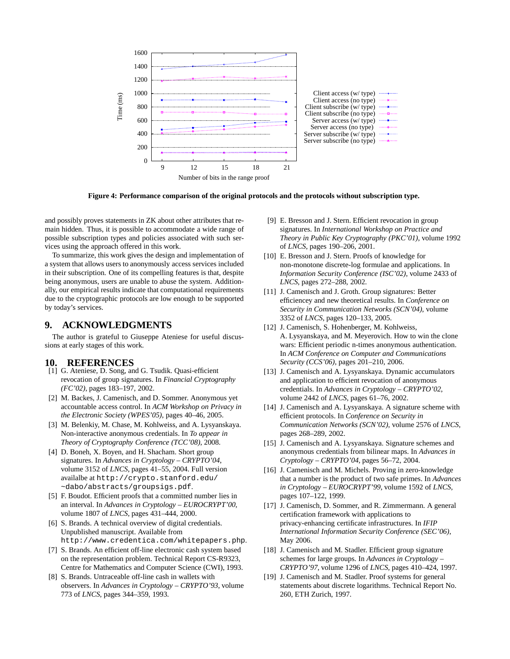

**Figure 4: Performance comparison of the original protocols and the protocols without subscription type.**

and possibly proves statements in ZK about other attributes that remain hidden. Thus, it is possible to accommodate a wide range of possible subscription types and policies associated with such services using the approach offered in this work.

To summarize, this work gives the design and implementation of a system that allows users to anonymously access services included in their subscription. One of its compelling features is that, despite being anonymous, users are unable to abuse the system. Additionally, our empirical results indicate that computational requirements due to the cryptographic protocols are low enough to be supported by today's services.

# **9. ACKNOWLEDGMENTS**

The author is grateful to Giuseppe Ateniese for useful discussions at early stages of this work.

#### **10. REFERENCES**

- [1] G. Ateniese, D. Song, and G. Tsudik. Quasi-efficient revocation of group signatures. In *Financial Cryptography (FC'02)*, pages 183–197, 2002.
- [2] M. Backes, J. Camenisch, and D. Sommer. Anonymous yet accountable access control. In *ACM Workshop on Privacy in the Electronic Society (WPES'05)*, pages 40–46, 2005.
- [3] M. Belenkiy, M. Chase, M. Kohlweiss, and A. Lysyanskaya. Non-interactive anonymous credentials. In *To appear in Theory of Cryptography Conference (TCC'08)*, 2008.
- [4] D. Boneh, X. Boyen, and H. Shacham. Short group signatures. In *Advances in Cryptology – CRYPTO'04*, volume 3152 of *LNCS*, pages 41–55, 2004. Full version availalbe at http://crypto.stanford.edu/ ~dabo/abstracts/groupsigs.pdf.
- [5] F. Boudot. Efficient proofs that a committed number lies in an interval. In *Advances in Cryptology – EUROCRYPT'00*, volume 1807 of *LNCS*, pages 431–444, 2000.
- [6] S. Brands. A technical overview of digital credentials. Unpublished manuscript. Available from http://www.credentica.com/whitepapers.php.
- [7] S. Brands. An efficient off-line electronic cash system based on the representation problem. Technical Report CS-R9323, Centre for Mathematics and Computer Science (CWI), 1993.
- [8] S. Brands. Untraceable off-line cash in wallets with observers. In *Advances in Cryptology – CRYPTO'93*, volume 773 of *LNCS*, pages 344–359, 1993.
- [9] E. Bresson and J. Stern. Efficient revocation in group signatures. In *International Workshop on Practice and Theory in Public Key Cryptography (PKC'01)*, volume 1992 of *LNCS*, pages 190–206, 2001.
- [10] E. Bresson and J. Stern. Proofs of knowledge for non-monotone discrete-log formulae and applications. In *Information Security Conference (ISC'02)*, volume 2433 of *LNCS*, pages 272–288, 2002.
- [11] J. Camenisch and J. Groth. Group signatures: Better efficiencey and new theoretical results. In *Conference on Security in Communication Networks (SCN'04)*, volume 3352 of *LNCS*, pages 120–133, 2005.
- [12] J. Camenisch, S. Hohenberger, M. Kohlweiss, A. Lysyanskaya, and M. Meyerovich. How to win the clone wars: Efficient periodic n-times anonymous authentication. In *ACM Conference on Computer and Communications Security (CCS'06)*, pages 201–210, 2006.
- [13] J. Camenisch and A. Lysyanskaya. Dynamic accumulators and application to efficient revocation of anonymous credentials. In *Advances in Cryptology – CRYPTO'02*, volume 2442 of *LNCS*, pages 61–76, 2002.
- [14] J. Camenisch and A. Lysyanskaya. A signature scheme with efficient protocols. In *Conference on Security in Communication Networks (SCN'02)*, volume 2576 of *LNCS*, pages 268–289, 2002.
- [15] J. Camenisch and A. Lysyanskaya. Signature schemes and anonymous credentials from bilinear maps. In *Advances in Cryptology – CRYPTO'04*, pages 56–72, 2004.
- [16] J. Camenisch and M. Michels. Proving in zero-knowledge that a number is the product of two safe primes. In *Advances in Cryptology – EUROCRYPT'99*, volume 1592 of *LNCS*, pages 107–122, 1999.
- [17] J. Camenisch, D. Sommer, and R. Zimmermann. A general certification framework with applications to privacy-enhancing certificate infrastructures. In *IFIP International Information Security Conference (SEC'06)*, May 2006.
- [18] J. Camenisch and M. Stadler. Efficient group signature schemes for large groups. In *Advances in Cryptology – CRYPTO'97*, volume 1296 of *LNCS*, pages 410–424, 1997.
- [19] J. Camenisch and M. Stadler. Proof systems for general statements about discrete logarithms. Technical Report No. 260, ETH Zurich, 1997.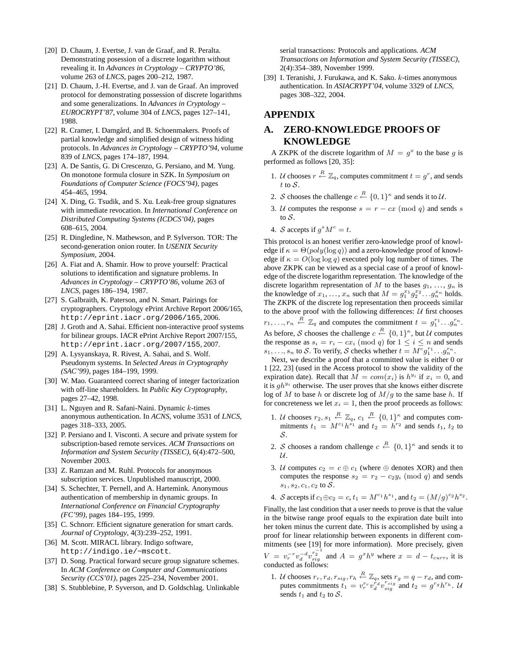- [20] D. Chaum, J. Evertse, J. van de Graaf, and R. Peralta. Demonstrating posession of a discrete logarithm without revealing it. In *Advances in Cryptology – CRYPTO'86*, volume 263 of *LNCS*, pages 200–212, 1987.
- [21] D. Chaum, J.-H. Evertse, and J. van de Graaf. An improved protocol for demonstrating possession of discrete logarithms and some generalizations. In *Advances in Cryptology – EUROCRYPT'87*, volume 304 of *LNCS*, pages 127–141, 1988.
- [22] R. Cramer, I. Damgård, and B. Schoenmakers. Proofs of partial knowledge and simplified design of witness hiding protocols. In *Advances in Cryptology – CRYPTO'94*, volume 839 of *LNCS*, pages 174–187, 1994.
- [23] A. De Santis, G. Di Crescenzo, G. Persiano, and M. Yung. On monotone formula closure in SZK. In *Symposium on Foundations of Computer Science (FOCS'94)*, pages 454–465, 1994.
- [24] X. Ding, G. Tsudik, and S. Xu. Leak-free group signatures with immediate revocation. In *International Conference on Distributed Computing Systems (ICDCS'04)*, pages 608–615, 2004.
- [25] R. Dingledine, N. Mathewson, and P. Sylverson. TOR: The second-generation onion router. In *USENIX Security Symposium*, 2004.
- [26] A. Fiat and A. Shamir. How to prove yourself: Practical solutions to identification and signature problems. In *Advances in Cryptology – CRYPTO'86*, volume 263 of *LNCS*, pages 186–194, 1987.
- [27] S. Galbraith, K. Paterson, and N. Smart. Pairings for cryptographers. Cryptology ePrint Archive Report 2006/165, http://eprint.iacr.org/2006/165, 2006.
- [28] J. Groth and A. Sahai. Efficient non-interactive proof systems for bilinear groups. IACR ePrint Archive Report 2007/155, http://eprint.iacr.org/2007/155, 2007.
- [29] A. Lysyanskaya, R. Rivest, A. Sahai, and S. Wolf. Pseudonym systems. In *Selected Areas in Cryptography (SAC'99)*, pages 184–199, 1999.
- [30] W. Mao. Guaranteed correct sharing of integer factorization with off-line shareholders. In *Public Key Cryptography*, pages 27–42, 1998.
- [31] L. Nguyen and R. Safani-Naini. Dynamic k-times anonymous authentication. In *ACNS*, volume 3531 of *LNCS*, pages 318–333, 2005.
- [32] P. Persiano and I. Visconti. A secure and private system for subscription-based remote services. *ACM Transactions on Information and System Security (TISSEC)*, 6(4):472–500, November 2003.
- [33] Z. Ramzan and M. Ruhl. Protocols for anonymous subscription services. Unpublished manuscript, 2000.
- [34] S. Schechter, T. Pernell, and A. Hartemink. Anonymous authentication of membership in dynamic groups. In *International Conference on Financial Cryptography (FC'99)*, pages 184–195, 1999.
- [35] C. Schnorr. Efficient signature generation for smart cards. *Journal of Cryptology*, 4(3):239–252, 1991.
- [36] M. Scott. MIRACL library. Indigo software, http://indigo.ie/~mscott.
- [37] D. Song. Practical forward secure group signature schemes. In *ACM Conference on Computer and Communications Security (CCS'01)*, pages 225–234, November 2001.
- [38] S. Stubblebine, P. Syverson, and D. Goldschlag. Unlinkable

serial transactions: Protocols and applications. *ACM Transactions on Information and System Security (TISSEC)*, 2(4):354–389, November 1999.

[39] I. Teranishi, J. Furukawa, and K. Sako. k-times anonymous authentication. In *ASIACRYPT'04*, volume 3329 of *LNCS*, pages 308–322, 2004.

# **APPENDIX**

# **A. ZERO-KNOWLEDGE PROOFS OF KNOWLEDGE**

A ZKPK of the discrete logarithm of  $M = g^x$  to the base g is performed as follows [20, 35]:

- 1. *U* chooses  $r \stackrel{R}{\leftarrow} \mathbb{Z}_q$ , computes commitment  $t = g^r$ , and sends t to  $\mathcal{S}$ .
- 2. S chooses the challenge  $c \stackrel{R}{\leftarrow} \{0,1\}^{\kappa}$  and sends it to  $\mathcal{U}$ .
- 3. *U* computes the response  $s = r cx \pmod{q}$  and sends s to  $S$ .
- 4. S accepts if  $g^s M^c = t$ .

This protocol is an honest verifier zero-knowledge proof of knowledge if  $\kappa = \Theta(\text{poly}(\log q))$  and a zero-knowledge proof of knowledge if  $\kappa = O(\log \log q)$  executed poly log number of times. The above ZKPK can be viewed as a special case of a proof of knowledge of the discrete logarithm representation. The knowledge of the discrete logarithm representation of M to the bases  $q_1, \ldots, q_n$  is the knowledge of  $x_1, \ldots, x_n$  such that  $M = g_1^{x_1} g_2^{x_2} \ldots g_n^{x_n}$  holds. The ZKPK of the discrete log representation then proceeds similar to the above proof with the following differences:  $U$  first chooses  $r_1, \ldots, r_n \stackrel{R}{\leftarrow} \mathbb{Z}_q$  and computes the commitment  $t = g_1^{r_1} \ldots g_n^{r_n}$ . As before, S chooses the challenge  $c \stackrel{R}{\leftarrow} \{0,1\}^{\kappa}$ , but U computes the response as  $s_i = r_i - cx_i \pmod{q}$  for  $1 \leq i \leq n$  and sends  $s_1, \ldots, s_n$  to S. To verify, S checks whether  $t = M^c g_1^{r_1} \ldots g_n^{r_n}$ .

Next, we describe a proof that a committed value is either 0 or 1 [22, 23] (used in the Access protocol to show the validity of the expiration date). Recall that  $\overline{M} = com(x_i)$  is  $h^{y_i}$  if  $x_i = 0$ , and it is  $gh^{y_i}$  otherwise. The user proves that she knows either discrete log of  $M$  to base  $h$  or discrete log of  $M/g$  to the same base  $h$ . If for concreteness we let  $x_i = 1$ , then the proof proceeds as follows:

- 1. *U* chooses  $r_2, s_1 \stackrel{R}{\leftarrow} \mathbb{Z}_q$ ,  $c_1 \stackrel{R}{\leftarrow} \{0,1\}^{\kappa}$  and computes commitments  $t_1 = M^{c_1} h^{s_1}$  and  $t_2 = h^{r_2}$  and sends  $t_1, t_2$  to S.
- 2. S chooses a random challenge  $c \stackrel{R}{\leftarrow} \{0,1\}^{\kappa}$  and sends it to  $\mathcal{U}$ .
- 3. *U* computes  $c_2 = c \oplus c_1$  (where  $\oplus$  denotes XOR) and then computes the response  $s_2 = r_2 - c_2y_i \pmod{q}$  and sends  $s_1, s_2, c_1, c_2$  to  $S$ .
- 4. S accepts if  $c_1 \oplus c_2 = c$ ,  $t_1 = M^{c_1} h^{s_1}$ , and  $t_2 = (M/g)^{c_2} h^{s_2}$ .

Finally, the last condition that a user needs to prove is that the value in the bitwise range proof equals to the expiration date built into her token minus the current date. This is accomplished by using a proof for linear relationship between exponents in different commitments (see [19] for more information). More precisely, given  $V = v_r^{-r} v_d^{-q} v_{sig}^{r_2^{-1}}$  and  $A = g^x h^y$  where  $x = d - t_{curr}$ , it is conducted as follows:

1. U chooses  $r_r$ ,  $r_d$ ,  $r_{sig}$ ,  $r_h \stackrel{R}{\leftarrow} \mathbb{Z}_q$ , sets  $r_g = q - r_d$ , and computes commitments  $t_1 = v_r^{r_r} v_d^{r_d} v_{sig}^{r_{sig}}$  and  $t_2 = g^{r_g} h^{r_h}$ . U sends  $t_1$  and  $t_2$  to  $S$ .